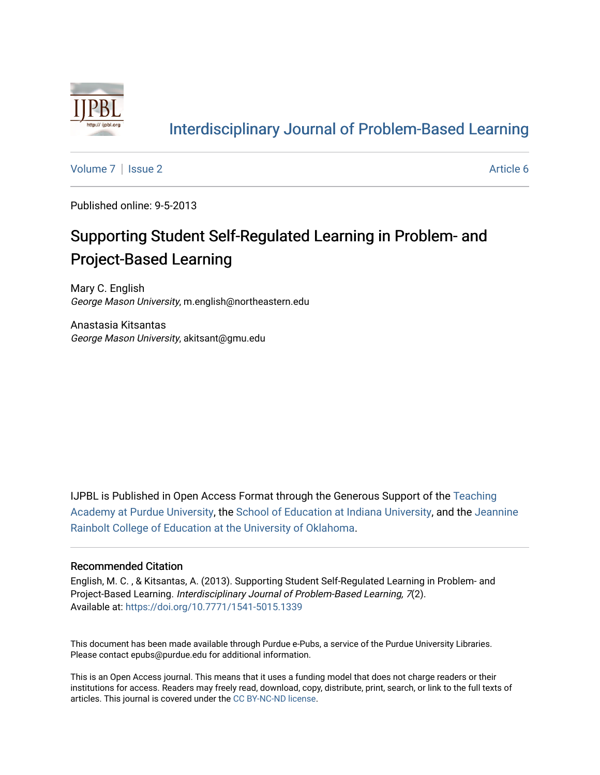

# [Interdisciplinary Journal of Problem-Based Learning](https://docs.lib.purdue.edu/ijpbl)

[Volume 7](https://docs.lib.purdue.edu/ijpbl/vol7) | [Issue 2](https://docs.lib.purdue.edu/ijpbl/vol7/iss2) Article 6

Published online: 9-5-2013

# Supporting Student Self-Regulated Learning in Problem- and Project-Based Learning

Mary C. English George Mason University, m.english@northeastern.edu

Anastasia Kitsantas George Mason University, akitsant@gmu.edu

IJPBL is Published in Open Access Format through the Generous Support of the [Teaching](https://www.purdue.edu/cie/aboutus/teachingacademy.html) [Academy at Purdue University](https://www.purdue.edu/cie/aboutus/teachingacademy.html), the [School of Education at Indiana University,](https://education.indiana.edu/index.html) and the [Jeannine](http://ou.edu/education) [Rainbolt College of Education at the University of Oklahoma](http://ou.edu/education).

#### Recommended Citation

English, M. C. , & Kitsantas, A. (2013). Supporting Student Self-Regulated Learning in Problem- and Project-Based Learning. Interdisciplinary Journal of Problem-Based Learning, 7(2). Available at:<https://doi.org/10.7771/1541-5015.1339>

This document has been made available through Purdue e-Pubs, a service of the Purdue University Libraries. Please contact epubs@purdue.edu for additional information.

This is an Open Access journal. This means that it uses a funding model that does not charge readers or their institutions for access. Readers may freely read, download, copy, distribute, print, search, or link to the full texts of articles. This journal is covered under the [CC BY-NC-ND license](https://creativecommons.org/licenses/by-nc-nd/4.0/).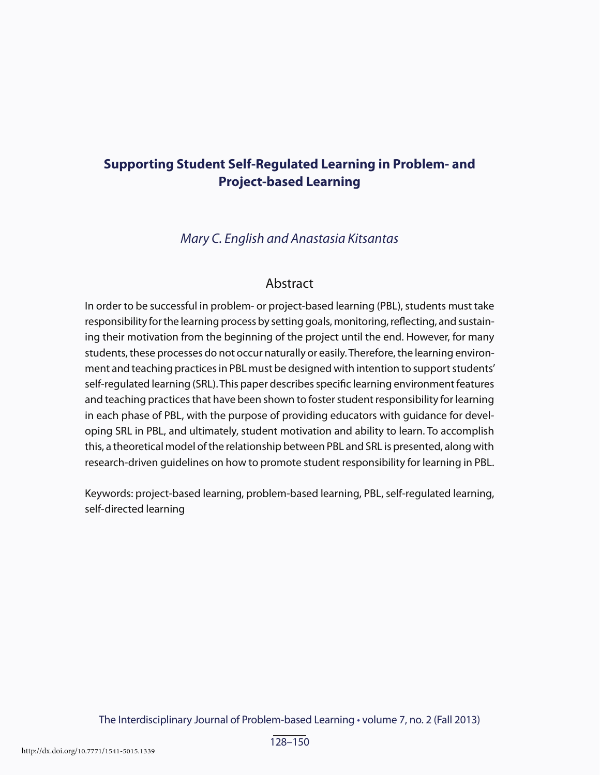# **Supporting Student Self-Regulated Learning in Problem- and Project-based Learning**

*Mary C. English and Anastasia Kitsantas*

### Abstract

In order to be successful in problem- or project-based learning (PBL), students must take responsibility for the learning process by setting goals, monitoring, reflecting, and sustaining their motivation from the beginning of the project until the end. However, for many students, these processes do not occur naturally or easily. Therefore, the learning environment and teaching practices in PBL must be designed with intention to support students' self-regulated learning (SRL). This paper describes specific learning environment features and teaching practices that have been shown to foster student responsibility for learning in each phase of PBL, with the purpose of providing educators with guidance for developing SRL in PBL, and ultimately, student motivation and ability to learn. To accomplish this, a theoretical model of the relationship between PBL and SRL is presented, along with research-driven guidelines on how to promote student responsibility for learning in PBL.

Keywords: project-based learning, problem-based learning, PBL, self-regulated learning, self-directed learning

The Interdisciplinary Journal of Problem-based Learning • volume 7, no. 2 (Fall 2013)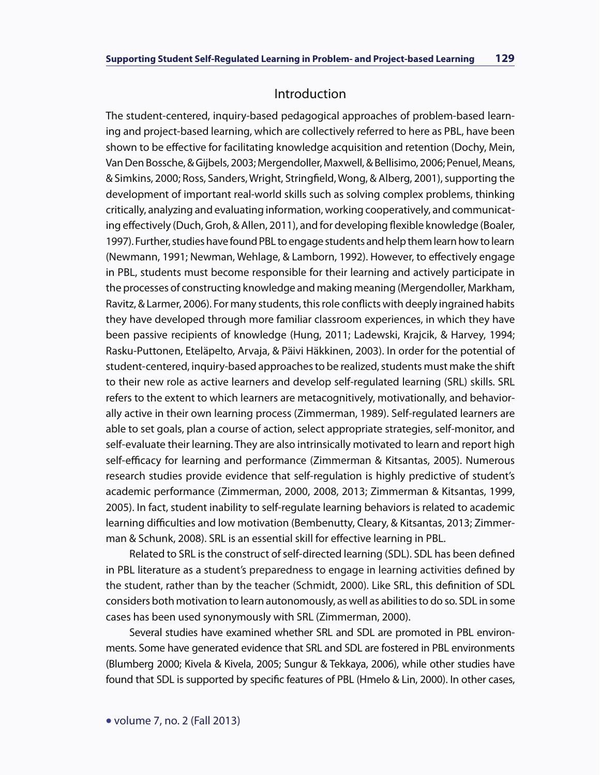#### Introduction

The student-centered, inquiry-based pedagogical approaches of problem-based learning and project-based learning, which are collectively referred to here as PBL, have been shown to be effective for facilitating knowledge acquisition and retention (Dochy, Mein, Van Den Bossche, & Gijbels, 2003; Mergendoller, Maxwell, & Bellisimo, 2006; Penuel, Means, & Simkins, 2000; Ross, Sanders, Wright, Stringfield, Wong, & Alberg, 2001), supporting the development of important real-world skills such as solving complex problems, thinking critically, analyzing and evaluating information, working cooperatively, and communicating effectively (Duch, Groh, & Allen, 2011), and for developing flexible knowledge (Boaler, 1997). Further, studies have found PBL to engage students and help them learn how to learn (Newmann, 1991; Newman, Wehlage, & Lamborn, 1992). However, to effectively engage in PBL, students must become responsible for their learning and actively participate in the processes of constructing knowledge and making meaning (Mergendoller, Markham, Ravitz, & Larmer, 2006). For many students, this role conflicts with deeply ingrained habits they have developed through more familiar classroom experiences, in which they have been passive recipients of knowledge (Hung, 2011; Ladewski, Krajcik, & Harvey, 1994; Rasku-Puttonen, Eteläpelto, Arvaja, & Päivi Häkkinen, 2003). In order for the potential of student-centered, inquiry-based approaches to be realized, students must make the shift to their new role as active learners and develop self-regulated learning (SRL) skills. SRL refers to the extent to which learners are metacognitively, motivationally, and behaviorally active in their own learning process (Zimmerman, 1989). Self-regulated learners are able to set goals, plan a course of action, select appropriate strategies, self-monitor, and self-evaluate their learning. They are also intrinsically motivated to learn and report high self-efficacy for learning and performance (Zimmerman & Kitsantas, 2005). Numerous research studies provide evidence that self-regulation is highly predictive of student's academic performance (Zimmerman, 2000, 2008, 2013; Zimmerman & Kitsantas, 1999, 2005). In fact, student inability to self-regulate learning behaviors is related to academic learning difficulties and low motivation (Bembenutty, Cleary, & Kitsantas, 2013; Zimmerman & Schunk, 2008). SRL is an essential skill for effective learning in PBL.

Related to SRL is the construct of self-directed learning (SDL). SDL has been defined in PBL literature as a student's preparedness to engage in learning activities defined by the student, rather than by the teacher (Schmidt, 2000). Like SRL, this definition of SDL considers both motivation to learn autonomously, as well as abilities to do so. SDL in some cases has been used synonymously with SRL (Zimmerman, 2000).

Several studies have examined whether SRL and SDL are promoted in PBL environments. Some have generated evidence that SRL and SDL are fostered in PBL environments (Blumberg 2000; Kivela & Kivela, 2005; Sungur & Tekkaya, 2006), while other studies have found that SDL is supported by specific features of PBL (Hmelo & Lin, 2000). In other cases,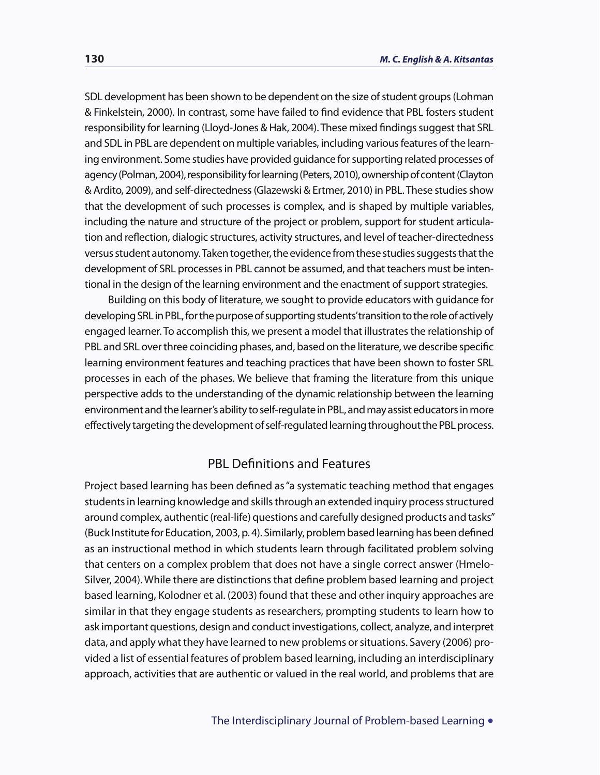SDL development has been shown to be dependent on the size of student groups (Lohman & Finkelstein, 2000). In contrast, some have failed to find evidence that PBL fosters student responsibility for learning (Lloyd-Jones & Hak, 2004). These mixed findings suggest that SRL and SDL in PBL are dependent on multiple variables, including various features of the learning environment. Some studies have provided guidance for supporting related processes of agency (Polman, 2004), responsibility for learning (Peters, 2010), ownership of content (Clayton & Ardito, 2009), and self-directedness (Glazewski & Ertmer, 2010) in PBL. These studies show that the development of such processes is complex, and is shaped by multiple variables, including the nature and structure of the project or problem, support for student articulation and reflection, dialogic structures, activity structures, and level of teacher-directedness versus student autonomy. Taken together, the evidence from these studies suggests that the development of SRL processes in PBL cannot be assumed, and that teachers must be intentional in the design of the learning environment and the enactment of support strategies.

Building on this body of literature, we sought to provide educators with guidance for developing SRL in PBL, for the purpose of supporting students' transition to the role of actively engaged learner. To accomplish this, we present a model that illustrates the relationship of PBL and SRL over three coinciding phases, and, based on the literature, we describe specific learning environment features and teaching practices that have been shown to foster SRL processes in each of the phases. We believe that framing the literature from this unique perspective adds to the understanding of the dynamic relationship between the learning environment and the learner's ability to self-regulate in PBL, and may assist educators in more effectively targeting the development of self-regulated learning throughout the PBL process.

## PBL Definitions and Features

Project based learning has been defined as "a systematic teaching method that engages students in learning knowledge and skills through an extended inquiry process structured around complex, authentic (real-life) questions and carefully designed products and tasks" (Buck Institute for Education, 2003, p. 4). Similarly, problem based learning has been defined as an instructional method in which students learn through facilitated problem solving that centers on a complex problem that does not have a single correct answer (Hmelo-Silver, 2004). While there are distinctions that define problem based learning and project based learning, Kolodner et al. (2003) found that these and other inquiry approaches are similar in that they engage students as researchers, prompting students to learn how to ask important questions, design and conduct investigations, collect, analyze, and interpret data, and apply what they have learned to new problems or situations. Savery (2006) provided a list of essential features of problem based learning, including an interdisciplinary approach, activities that are authentic or valued in the real world, and problems that are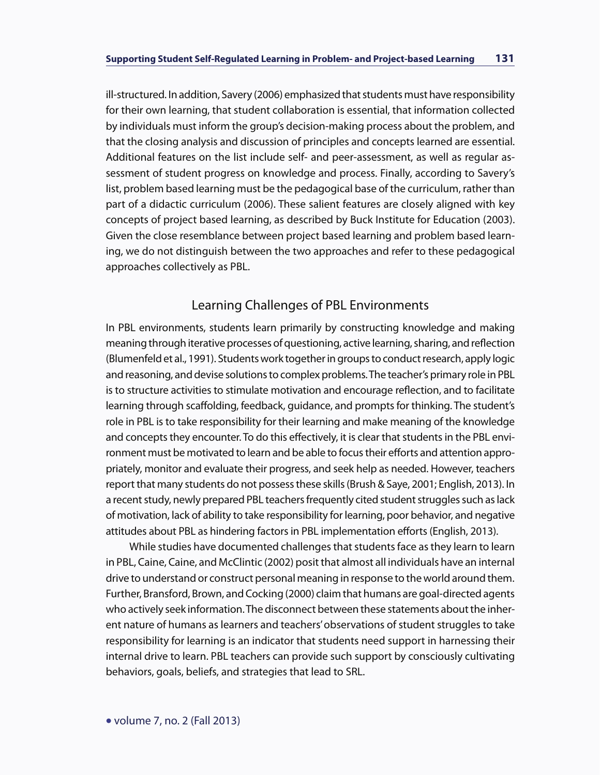ill-structured. In addition, Savery (2006) emphasized that students must have responsibility for their own learning, that student collaboration is essential, that information collected by individuals must inform the group's decision-making process about the problem, and that the closing analysis and discussion of principles and concepts learned are essential. Additional features on the list include self- and peer-assessment, as well as regular assessment of student progress on knowledge and process. Finally, according to Savery's list, problem based learning must be the pedagogical base of the curriculum, rather than part of a didactic curriculum (2006). These salient features are closely aligned with key concepts of project based learning, as described by Buck Institute for Education (2003). Given the close resemblance between project based learning and problem based learning, we do not distinguish between the two approaches and refer to these pedagogical approaches collectively as PBL.

# Learning Challenges of PBL Environments

In PBL environments, students learn primarily by constructing knowledge and making meaning through iterative processes of questioning, active learning, sharing, and reflection (Blumenfeld et al., 1991). Students work together in groups to conduct research, apply logic and reasoning, and devise solutions to complex problems. The teacher's primary role in PBL is to structure activities to stimulate motivation and encourage reflection, and to facilitate learning through scaffolding, feedback, guidance, and prompts for thinking. The student's role in PBL is to take responsibility for their learning and make meaning of the knowledge and concepts they encounter. To do this effectively, it is clear that students in the PBL environment must be motivated to learn and be able to focus their efforts and attention appropriately, monitor and evaluate their progress, and seek help as needed. However, teachers report that many students do not possess these skills (Brush & Saye, 2001; English, 2013). In a recent study, newly prepared PBL teachers frequently cited student struggles such as lack of motivation, lack of ability to take responsibility for learning, poor behavior, and negative attitudes about PBL as hindering factors in PBL implementation efforts (English, 2013).

While studies have documented challenges that students face as they learn to learn in PBL, Caine, Caine, and McClintic (2002) posit that almost all individuals have an internal drive to understand or construct personal meaning in response to the world around them. Further, Bransford, Brown, and Cocking (2000) claim that humans are goal-directed agents who actively seek information. The disconnect between these statements about the inherent nature of humans as learners and teachers' observations of student struggles to take responsibility for learning is an indicator that students need support in harnessing their internal drive to learn. PBL teachers can provide such support by consciously cultivating behaviors, goals, beliefs, and strategies that lead to SRL.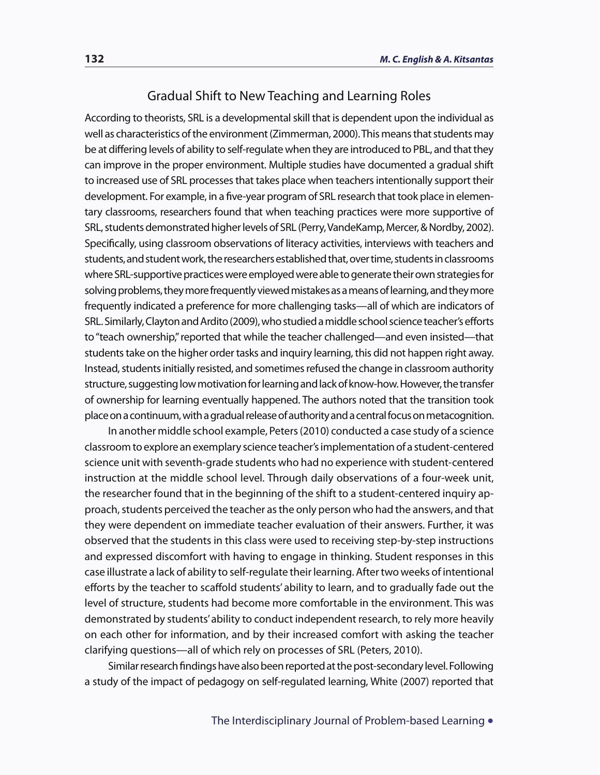#### Gradual Shift to New Teaching and Learning Roles

According to theorists, SRL is a developmental skill that is dependent upon the individual as well as characteristics of the environment (Zimmerman, 2000). This means that students may be at differing levels of ability to self-regulate when they are introduced to PBL, and that they can improve in the proper environment. Multiple studies have documented a gradual shift to increased use of SRL processes that takes place when teachers intentionally support their development. For example, in a five-year program of SRL research that took place in elementary classrooms, researchers found that when teaching practices were more supportive of SRL, students demonstrated higher levels of SRL (Perry, VandeKamp, Mercer, & Nordby, 2002). Specifically, using classroom observations of literacy activities, interviews with teachers and students, and student work, the researchers established that, over time, students in classrooms where SRL-supportive practices were employed were able to generate their own strategies for solving problems, they more frequently viewed mistakes as a means of learning, and they more frequently indicated a preference for more challenging tasks—all of which are indicators of SRL. Similarly, Clayton and Ardito (2009), who studied a middle school science teacher's efforts to "teach ownership," reported that while the teacher challenged—and even insisted—that students take on the higher order tasks and inquiry learning, this did not happen right away. Instead, students initially resisted, and sometimes refused the change in classroom authority structure, suggesting low motivation for learning and lack of know-how. However, the transfer of ownership for learning eventually happened. The authors noted that the transition took place on a continuum, with a gradual release of authority and a central focus on metacognition.

In another middle school example, Peters (2010) conducted a case study of a science classroom to explore an exemplary science teacher's implementation of a student-centered science unit with seventh-grade students who had no experience with student-centered instruction at the middle school level. Through daily observations of a four-week unit, the researcher found that in the beginning of the shift to a student-centered inquiry approach, students perceived the teacher as the only person who had the answers, and that they were dependent on immediate teacher evaluation of their answers. Further, it was observed that the students in this class were used to receiving step-by-step instructions and expressed discomfort with having to engage in thinking. Student responses in this case illustrate a lack of ability to self-regulate their learning. After two weeks of intentional efforts by the teacher to scaffold students' ability to learn, and to gradually fade out the level of structure, students had become more comfortable in the environment. This was demonstrated by students' ability to conduct independent research, to rely more heavily on each other for information, and by their increased comfort with asking the teacher clarifying questions—all of which rely on processes of SRL (Peters, 2010).

Similar research findings have also been reported at the post-secondary level. Following a study of the impact of pedagogy on self-regulated learning, White (2007) reported that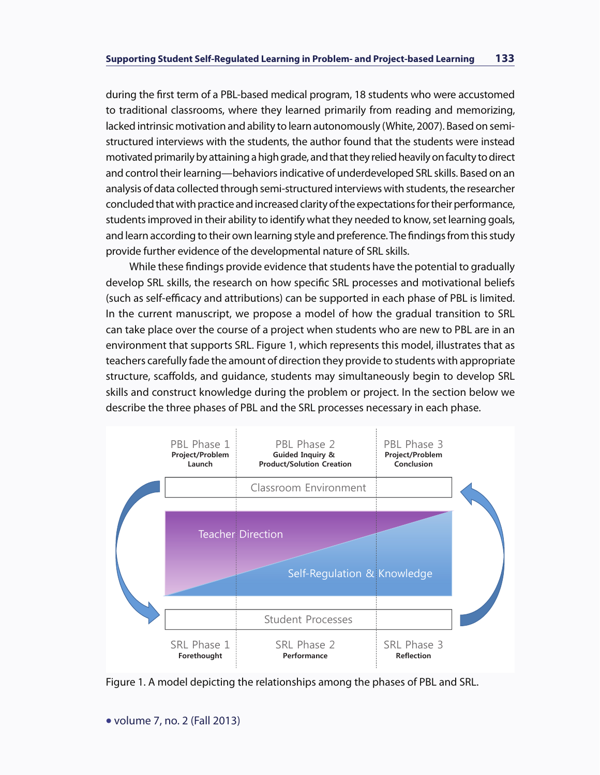during the first term of a PBL-based medical program, 18 students who were accustomed to traditional classrooms, where they learned primarily from reading and memorizing, lacked intrinsic motivation and ability to learn autonomously (White, 2007). Based on semistructured interviews with the students, the author found that the students were instead motivated primarily by attaining a high grade, and that they relied heavily on faculty to direct and control their learning—behaviors indicative of underdeveloped SRL skills. Based on an analysis of data collected through semi-structured interviews with students, the researcher concluded that with practice and increased clarity of the expectations for their performance, students improved in their ability to identify what they needed to know, set learning goals, and learn according to their own learning style and preference. The findings from this study provide further evidence of the developmental nature of SRL skills.

While these findings provide evidence that students have the potential to gradually develop SRL skills, the research on how specific SRL processes and motivational beliefs (such as self-efficacy and attributions) can be supported in each phase of PBL is limited. In the current manuscript, we propose a model of how the gradual transition to SRL can take place over the course of a project when students who are new to PBL are in an environment that supports SRL. Figure 1, which represents this model, illustrates that as teachers carefully fade the amount of direction they provide to students with appropriate structure, scaffolds, and guidance, students may simultaneously begin to develop SRL skills and construct knowledge during the problem or project. In the section below we describe the three phases of PBL and the SRL processes necessary in each phase.



Figure 1. A model depicting the relationships among the phases of PBL and SRL.

• volume 7, no. 2 (Fall 2013)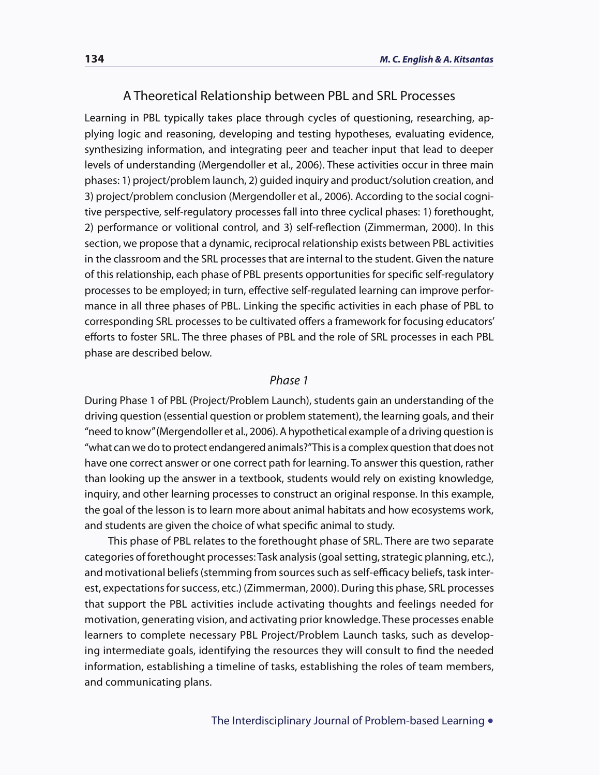#### A Theoretical Relationship between PBL and SRL Processes

Learning in PBL typically takes place through cycles of questioning, researching, applying logic and reasoning, developing and testing hypotheses, evaluating evidence, synthesizing information, and integrating peer and teacher input that lead to deeper levels of understanding (Mergendoller et al., 2006). These activities occur in three main phases: 1) project/problem launch, 2) guided inquiry and product/solution creation, and 3) project/problem conclusion (Mergendoller et al., 2006). According to the social cognitive perspective, self-regulatory processes fall into three cyclical phases: 1) forethought, 2) performance or volitional control, and 3) self-reflection (Zimmerman, 2000). In this section, we propose that a dynamic, reciprocal relationship exists between PBL activities in the classroom and the SRL processes that are internal to the student. Given the nature of this relationship, each phase of PBL presents opportunities for specific self-regulatory processes to be employed; in turn, effective self-regulated learning can improve performance in all three phases of PBL. Linking the specific activities in each phase of PBL to corresponding SRL processes to be cultivated offers a framework for focusing educators' efforts to foster SRL. The three phases of PBL and the role of SRL processes in each PBL phase are described below.

#### *Phase 1*

During Phase 1 of PBL (Project/Problem Launch), students gain an understanding of the driving question (essential question or problem statement), the learning goals, and their "need to know" (Mergendoller et al., 2006). A hypothetical example of a driving question is "what can we do to protect endangered animals?" This is a complex question that does not have one correct answer or one correct path for learning. To answer this question, rather than looking up the answer in a textbook, students would rely on existing knowledge, inquiry, and other learning processes to construct an original response. In this example, the goal of the lesson is to learn more about animal habitats and how ecosystems work, and students are given the choice of what specific animal to study.

This phase of PBL relates to the forethought phase of SRL. There are two separate categories of forethought processes: Task analysis (goal setting, strategic planning, etc.), and motivational beliefs (stemming from sources such as self-efficacy beliefs, task interest, expectations for success, etc.) (Zimmerman, 2000). During this phase, SRL processes that support the PBL activities include activating thoughts and feelings needed for motivation, generating vision, and activating prior knowledge. These processes enable learners to complete necessary PBL Project/Problem Launch tasks, such as developing intermediate goals, identifying the resources they will consult to find the needed information, establishing a timeline of tasks, establishing the roles of team members, and communicating plans.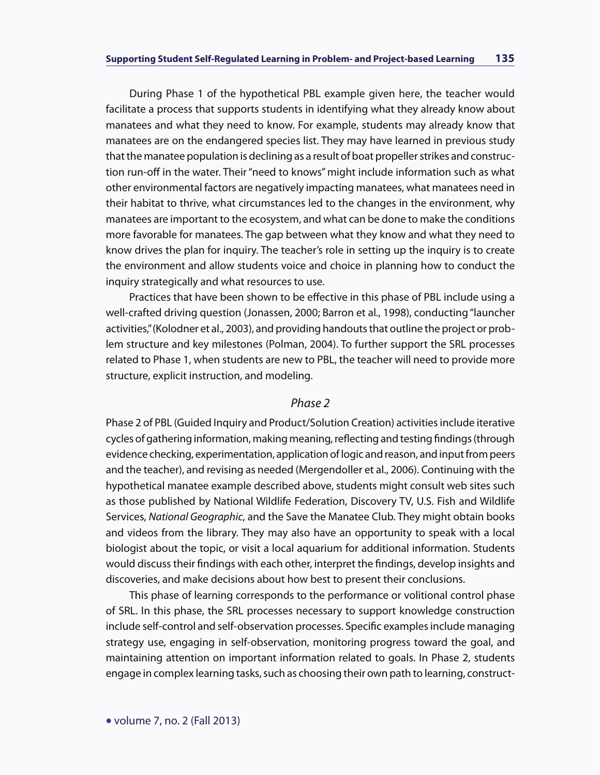During Phase 1 of the hypothetical PBL example given here, the teacher would facilitate a process that supports students in identifying what they already know about manatees and what they need to know. For example, students may already know that manatees are on the endangered species list. They may have learned in previous study that the manatee population is declining as a result of boat propeller strikes and construction run-off in the water. Their "need to knows" might include information such as what other environmental factors are negatively impacting manatees, what manatees need in their habitat to thrive, what circumstances led to the changes in the environment, why manatees are important to the ecosystem, and what can be done to make the conditions more favorable for manatees. The gap between what they know and what they need to know drives the plan for inquiry. The teacher's role in setting up the inquiry is to create the environment and allow students voice and choice in planning how to conduct the inquiry strategically and what resources to use.

Practices that have been shown to be effective in this phase of PBL include using a well-crafted driving question (Jonassen, 2000; Barron et al., 1998), conducting "launcher activities," (Kolodner et al., 2003), and providing handouts that outline the project or problem structure and key milestones (Polman, 2004). To further support the SRL processes related to Phase 1, when students are new to PBL, the teacher will need to provide more structure, explicit instruction, and modeling.

#### *Phase 2*

Phase 2 of PBL (Guided Inquiry and Product/Solution Creation) activities include iterative cycles of gathering information, making meaning, reflecting and testing findings (through evidence checking, experimentation, application of logic and reason, and input from peers and the teacher), and revising as needed (Mergendoller et al., 2006). Continuing with the hypothetical manatee example described above, students might consult web sites such as those published by National Wildlife Federation, Discovery TV, U.S. Fish and Wildlife Services, *National Geographic*, and the Save the Manatee Club. They might obtain books and videos from the library. They may also have an opportunity to speak with a local biologist about the topic, or visit a local aquarium for additional information. Students would discuss their findings with each other, interpret the findings, develop insights and discoveries, and make decisions about how best to present their conclusions.

This phase of learning corresponds to the performance or volitional control phase of SRL. In this phase, the SRL processes necessary to support knowledge construction include self-control and self-observation processes. Specific examples include managing strategy use, engaging in self-observation, monitoring progress toward the goal, and maintaining attention on important information related to goals. In Phase 2, students engage in complex learning tasks, such as choosing their own path to learning, construct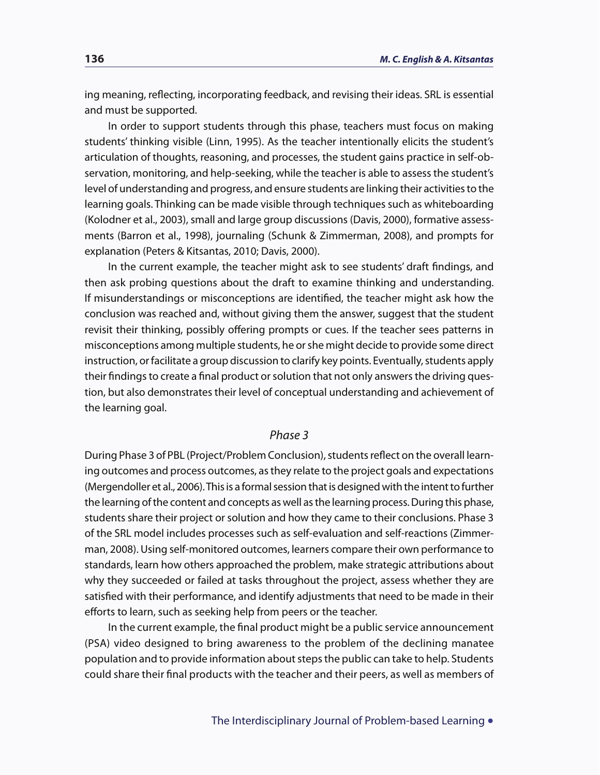ing meaning, reflecting, incorporating feedback, and revising their ideas. SRL is essential and must be supported.

In order to support students through this phase, teachers must focus on making students' thinking visible (Linn, 1995). As the teacher intentionally elicits the student's articulation of thoughts, reasoning, and processes, the student gains practice in self-observation, monitoring, and help-seeking, while the teacher is able to assess the student's level of understanding and progress, and ensure students are linking their activities to the learning goals. Thinking can be made visible through techniques such as whiteboarding (Kolodner et al., 2003), small and large group discussions (Davis, 2000), formative assessments (Barron et al., 1998), journaling (Schunk & Zimmerman, 2008), and prompts for explanation (Peters & Kitsantas, 2010; Davis, 2000).

In the current example, the teacher might ask to see students' draft findings, and then ask probing questions about the draft to examine thinking and understanding. If misunderstandings or misconceptions are identified, the teacher might ask how the conclusion was reached and, without giving them the answer, suggest that the student revisit their thinking, possibly offering prompts or cues. If the teacher sees patterns in misconceptions among multiple students, he or she might decide to provide some direct instruction, or facilitate a group discussion to clarify key points. Eventually, students apply their findings to create a final product or solution that not only answers the driving question, but also demonstrates their level of conceptual understanding and achievement of the learning goal.

#### *Phase 3*

During Phase 3 of PBL (Project/Problem Conclusion), students reflect on the overall learning outcomes and process outcomes, as they relate to the project goals and expectations (Mergendoller et al., 2006). This is a formal session that is designed with the intent to further the learning of the content and concepts as well as the learning process. During this phase, students share their project or solution and how they came to their conclusions. Phase 3 of the SRL model includes processes such as self-evaluation and self-reactions (Zimmerman, 2008). Using self-monitored outcomes, learners compare their own performance to standards, learn how others approached the problem, make strategic attributions about why they succeeded or failed at tasks throughout the project, assess whether they are satisfied with their performance, and identify adjustments that need to be made in their efforts to learn, such as seeking help from peers or the teacher.

In the current example, the final product might be a public service announcement (PSA) video designed to bring awareness to the problem of the declining manatee population and to provide information about steps the public can take to help. Students could share their final products with the teacher and their peers, as well as members of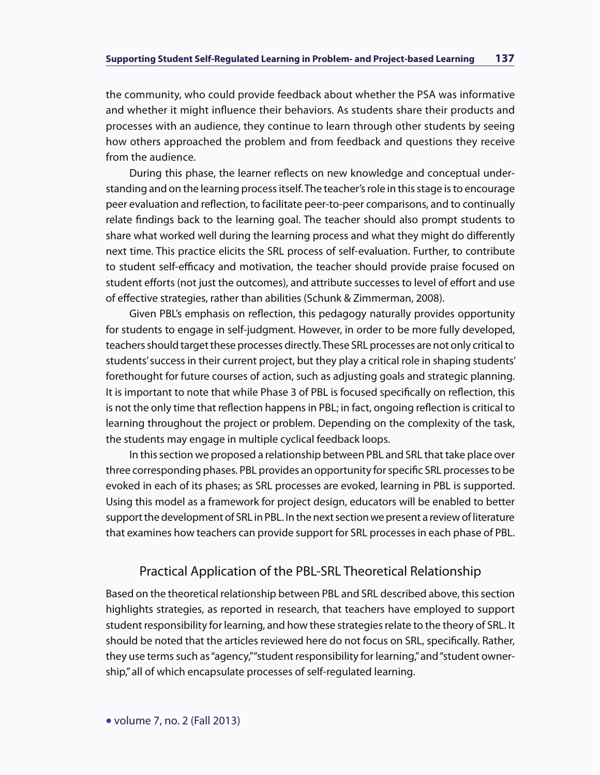the community, who could provide feedback about whether the PSA was informative and whether it might influence their behaviors. As students share their products and processes with an audience, they continue to learn through other students by seeing how others approached the problem and from feedback and questions they receive from the audience.

During this phase, the learner reflects on new knowledge and conceptual understanding and on the learning process itself. The teacher's role in this stage is to encourage peer evaluation and reflection, to facilitate peer-to-peer comparisons, and to continually relate findings back to the learning goal. The teacher should also prompt students to share what worked well during the learning process and what they might do differently next time. This practice elicits the SRL process of self-evaluation. Further, to contribute to student self-efficacy and motivation, the teacher should provide praise focused on student efforts (not just the outcomes), and attribute successes to level of effort and use of effective strategies, rather than abilities (Schunk & Zimmerman, 2008).

Given PBL's emphasis on reflection, this pedagogy naturally provides opportunity for students to engage in self-judgment. However, in order to be more fully developed, teachers should target these processes directly. These SRL processes are not only critical to students' success in their current project, but they play a critical role in shaping students' forethought for future courses of action, such as adjusting goals and strategic planning. It is important to note that while Phase 3 of PBL is focused specifically on reflection, this is not the only time that reflection happens in PBL; in fact, ongoing reflection is critical to learning throughout the project or problem. Depending on the complexity of the task, the students may engage in multiple cyclical feedback loops.

In this section we proposed a relationship between PBL and SRL that take place over three corresponding phases. PBL provides an opportunity for specific SRL processes to be evoked in each of its phases; as SRL processes are evoked, learning in PBL is supported. Using this model as a framework for project design, educators will be enabled to better support the development of SRL in PBL. In the next section we present a review of literature that examines how teachers can provide support for SRL processes in each phase of PBL.

## Practical Application of the PBL-SRL Theoretical Relationship

Based on the theoretical relationship between PBL and SRL described above, this section highlights strategies, as reported in research, that teachers have employed to support student responsibility for learning, and how these strategies relate to the theory of SRL. It should be noted that the articles reviewed here do not focus on SRL, specifically. Rather, they use terms such as "agency," "student responsibility for learning," and "student ownership," all of which encapsulate processes of self-regulated learning.

• volume 7, no. 2 (Fall 2013)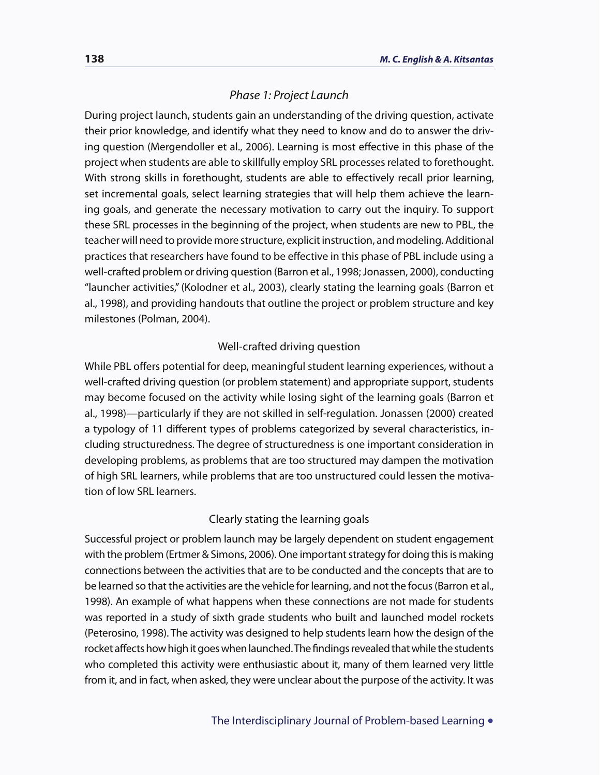#### *Phase 1: Project Launch*

During project launch, students gain an understanding of the driving question, activate their prior knowledge, and identify what they need to know and do to answer the driving question (Mergendoller et al., 2006). Learning is most effective in this phase of the project when students are able to skillfully employ SRL processes related to forethought. With strong skills in forethought, students are able to effectively recall prior learning, set incremental goals, select learning strategies that will help them achieve the learning goals, and generate the necessary motivation to carry out the inquiry. To support these SRL processes in the beginning of the project, when students are new to PBL, the teacher will need to provide more structure, explicit instruction, and modeling. Additional practices that researchers have found to be effective in this phase of PBL include using a well-crafted problem or driving question (Barron et al., 1998; Jonassen, 2000), conducting "launcher activities," (Kolodner et al., 2003), clearly stating the learning goals (Barron et al., 1998), and providing handouts that outline the project or problem structure and key milestones (Polman, 2004).

#### Well-crafted driving question

While PBL offers potential for deep, meaningful student learning experiences, without a well-crafted driving question (or problem statement) and appropriate support, students may become focused on the activity while losing sight of the learning goals (Barron et al., 1998)—particularly if they are not skilled in self-regulation. Jonassen (2000) created a typology of 11 different types of problems categorized by several characteristics, including structuredness. The degree of structuredness is one important consideration in developing problems, as problems that are too structured may dampen the motivation of high SRL learners, while problems that are too unstructured could lessen the motivation of low SRL learners.

#### Clearly stating the learning goals

Successful project or problem launch may be largely dependent on student engagement with the problem (Ertmer & Simons, 2006). One important strategy for doing this is making connections between the activities that are to be conducted and the concepts that are to be learned so that the activities are the vehicle for learning, and not the focus (Barron et al., 1998). An example of what happens when these connections are not made for students was reported in a study of sixth grade students who built and launched model rockets (Peterosino, 1998). The activity was designed to help students learn how the design of the rocket affects how high it goes when launched. The findings revealed that while the students who completed this activity were enthusiastic about it, many of them learned very little from it, and in fact, when asked, they were unclear about the purpose of the activity. It was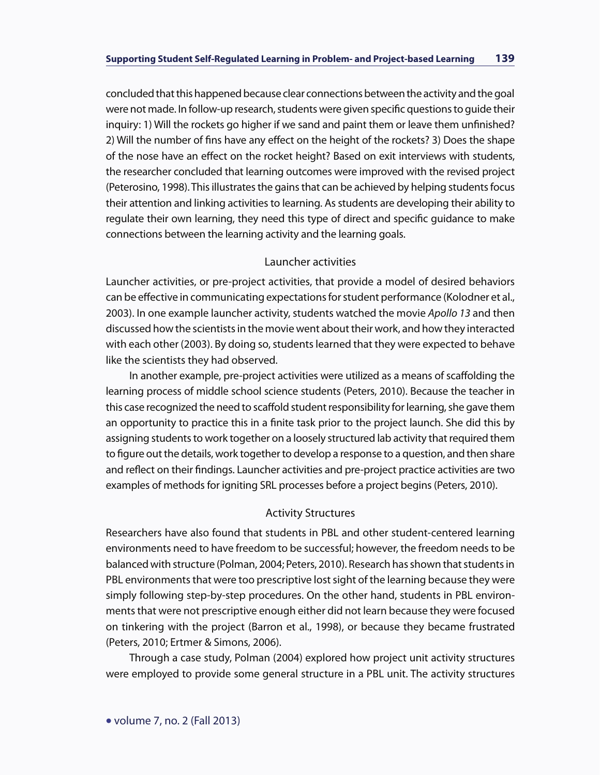concluded that this happened because clear connections between the activity and the goal were not made. In follow-up research, students were given specific questions to guide their inquiry: 1) Will the rockets go higher if we sand and paint them or leave them unfinished? 2) Will the number of fins have any effect on the height of the rockets? 3) Does the shape of the nose have an effect on the rocket height? Based on exit interviews with students, the researcher concluded that learning outcomes were improved with the revised project (Peterosino, 1998). This illustrates the gains that can be achieved by helping students focus their attention and linking activities to learning. As students are developing their ability to regulate their own learning, they need this type of direct and specific guidance to make connections between the learning activity and the learning goals.

#### Launcher activities

Launcher activities, or pre-project activities, that provide a model of desired behaviors can be effective in communicating expectations for student performance (Kolodner et al., 2003). In one example launcher activity, students watched the movie *Apollo 13* and then discussed how the scientists in the movie went about their work, and how they interacted with each other (2003). By doing so, students learned that they were expected to behave like the scientists they had observed.

In another example, pre-project activities were utilized as a means of scaffolding the learning process of middle school science students (Peters, 2010). Because the teacher in this case recognized the need to scaffold student responsibility for learning, she gave them an opportunity to practice this in a finite task prior to the project launch. She did this by assigning students to work together on a loosely structured lab activity that required them to figure out the details, work together to develop a response to a question, and then share and reflect on their findings. Launcher activities and pre-project practice activities are two examples of methods for igniting SRL processes before a project begins (Peters, 2010).

#### Activity Structures

Researchers have also found that students in PBL and other student-centered learning environments need to have freedom to be successful; however, the freedom needs to be balanced with structure (Polman, 2004; Peters, 2010). Research has shown that students in PBL environments that were too prescriptive lost sight of the learning because they were simply following step-by-step procedures. On the other hand, students in PBL environments that were not prescriptive enough either did not learn because they were focused on tinkering with the project (Barron et al., 1998), or because they became frustrated (Peters, 2010; Ertmer & Simons, 2006).

Through a case study, Polman (2004) explored how project unit activity structures were employed to provide some general structure in a PBL unit. The activity structures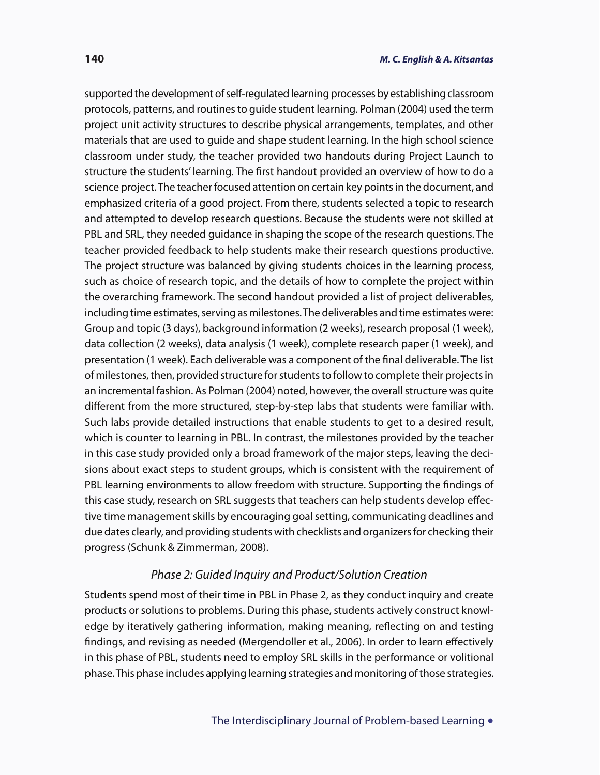supported the development of self-regulated learning processes by establishing classroom protocols, patterns, and routines to guide student learning. Polman (2004) used the term project unit activity structures to describe physical arrangements, templates, and other materials that are used to guide and shape student learning. In the high school science classroom under study, the teacher provided two handouts during Project Launch to structure the students' learning. The first handout provided an overview of how to do a science project. The teacher focused attention on certain key points in the document, and emphasized criteria of a good project. From there, students selected a topic to research and attempted to develop research questions. Because the students were not skilled at PBL and SRL, they needed guidance in shaping the scope of the research questions. The teacher provided feedback to help students make their research questions productive. The project structure was balanced by giving students choices in the learning process, such as choice of research topic, and the details of how to complete the project within the overarching framework. The second handout provided a list of project deliverables, including time estimates, serving as milestones. The deliverables and time estimates were: Group and topic (3 days), background information (2 weeks), research proposal (1 week), data collection (2 weeks), data analysis (1 week), complete research paper (1 week), and presentation (1 week). Each deliverable was a component of the final deliverable. The list of milestones, then, provided structure for students to follow to complete their projects in an incremental fashion. As Polman (2004) noted, however, the overall structure was quite different from the more structured, step-by-step labs that students were familiar with. Such labs provide detailed instructions that enable students to get to a desired result, which is counter to learning in PBL. In contrast, the milestones provided by the teacher in this case study provided only a broad framework of the major steps, leaving the decisions about exact steps to student groups, which is consistent with the requirement of PBL learning environments to allow freedom with structure. Supporting the findings of this case study, research on SRL suggests that teachers can help students develop effective time management skills by encouraging goal setting, communicating deadlines and due dates clearly, and providing students with checklists and organizers for checking their progress (Schunk & Zimmerman, 2008).

#### *Phase 2: Guided Inquiry and Product/Solution Creation*

Students spend most of their time in PBL in Phase 2, as they conduct inquiry and create products or solutions to problems. During this phase, students actively construct knowledge by iteratively gathering information, making meaning, reflecting on and testing findings, and revising as needed (Mergendoller et al., 2006). In order to learn effectively in this phase of PBL, students need to employ SRL skills in the performance or volitional phase. This phase includes applying learning strategies and monitoring of those strategies.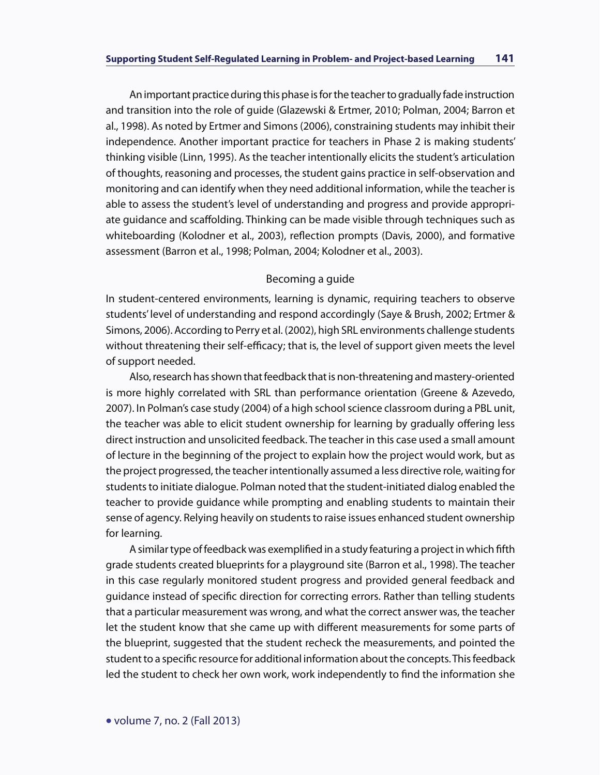An important practice during this phase is for the teacher to gradually fade instruction and transition into the role of guide (Glazewski & Ertmer, 2010; Polman, 2004; Barron et al., 1998). As noted by Ertmer and Simons (2006), constraining students may inhibit their independence. Another important practice for teachers in Phase 2 is making students' thinking visible (Linn, 1995). As the teacher intentionally elicits the student's articulation of thoughts, reasoning and processes, the student gains practice in self-observation and monitoring and can identify when they need additional information, while the teacher is able to assess the student's level of understanding and progress and provide appropriate guidance and scaffolding. Thinking can be made visible through techniques such as whiteboarding (Kolodner et al., 2003), reflection prompts (Davis, 2000), and formative assessment (Barron et al., 1998; Polman, 2004; Kolodner et al., 2003).

#### Becoming a guide

In student-centered environments, learning is dynamic, requiring teachers to observe students' level of understanding and respond accordingly (Saye & Brush, 2002; Ertmer & Simons, 2006). According to Perry et al. (2002), high SRL environments challenge students without threatening their self-efficacy; that is, the level of support given meets the level of support needed.

Also, research has shown that feedback that is non-threatening and mastery-oriented is more highly correlated with SRL than performance orientation (Greene & Azevedo, 2007). In Polman's case study (2004) of a high school science classroom during a PBL unit, the teacher was able to elicit student ownership for learning by gradually offering less direct instruction and unsolicited feedback. The teacher in this case used a small amount of lecture in the beginning of the project to explain how the project would work, but as the project progressed, the teacher intentionally assumed a less directive role, waiting for students to initiate dialogue. Polman noted that the student-initiated dialog enabled the teacher to provide guidance while prompting and enabling students to maintain their sense of agency. Relying heavily on students to raise issues enhanced student ownership for learning.

A similar type of feedback was exemplified in a study featuring a project in which fifth grade students created blueprints for a playground site (Barron et al., 1998). The teacher in this case regularly monitored student progress and provided general feedback and guidance instead of specific direction for correcting errors. Rather than telling students that a particular measurement was wrong, and what the correct answer was, the teacher let the student know that she came up with different measurements for some parts of the blueprint, suggested that the student recheck the measurements, and pointed the student to a specific resource for additional information about the concepts. This feedback led the student to check her own work, work independently to find the information she

• volume 7, no. 2 (Fall 2013)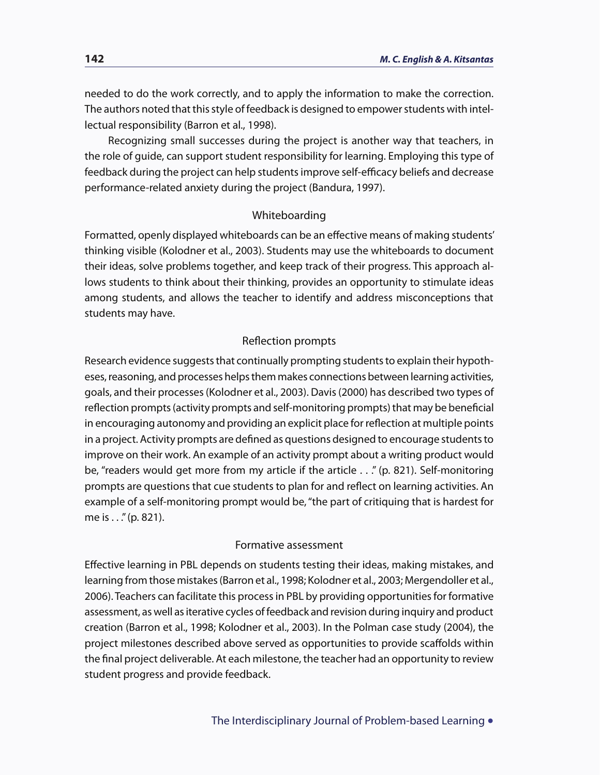needed to do the work correctly, and to apply the information to make the correction. The authors noted that this style of feedback is designed to empower students with intellectual responsibility (Barron et al., 1998).

Recognizing small successes during the project is another way that teachers, in the role of guide, can support student responsibility for learning. Employing this type of feedback during the project can help students improve self-efficacy beliefs and decrease performance-related anxiety during the project (Bandura, 1997).

#### Whiteboarding

Formatted, openly displayed whiteboards can be an effective means of making students' thinking visible (Kolodner et al., 2003). Students may use the whiteboards to document their ideas, solve problems together, and keep track of their progress. This approach allows students to think about their thinking, provides an opportunity to stimulate ideas among students, and allows the teacher to identify and address misconceptions that students may have.

#### Reflection prompts

Research evidence suggests that continually prompting students to explain their hypotheses, reasoning, and processes helps them makes connections between learning activities, goals, and their processes (Kolodner et al., 2003). Davis (2000) has described two types of reflection prompts (activity prompts and self-monitoring prompts) that may be beneficial in encouraging autonomy and providing an explicit place for reflection at multiple points in a project. Activity prompts are defined as questions designed to encourage students to improve on their work. An example of an activity prompt about a writing product would be, "readers would get more from my article if the article . . ." (p. 821). Self-monitoring prompts are questions that cue students to plan for and reflect on learning activities. An example of a self-monitoring prompt would be, "the part of critiquing that is hardest for me is . . ." (p. 821).

#### Formative assessment

Effective learning in PBL depends on students testing their ideas, making mistakes, and learning from those mistakes (Barron et al., 1998; Kolodner et al., 2003; Mergendoller et al., 2006). Teachers can facilitate this process in PBL by providing opportunities for formative assessment, as well as iterative cycles of feedback and revision during inquiry and product creation (Barron et al., 1998; Kolodner et al., 2003). In the Polman case study (2004), the project milestones described above served as opportunities to provide scaffolds within the final project deliverable. At each milestone, the teacher had an opportunity to review student progress and provide feedback.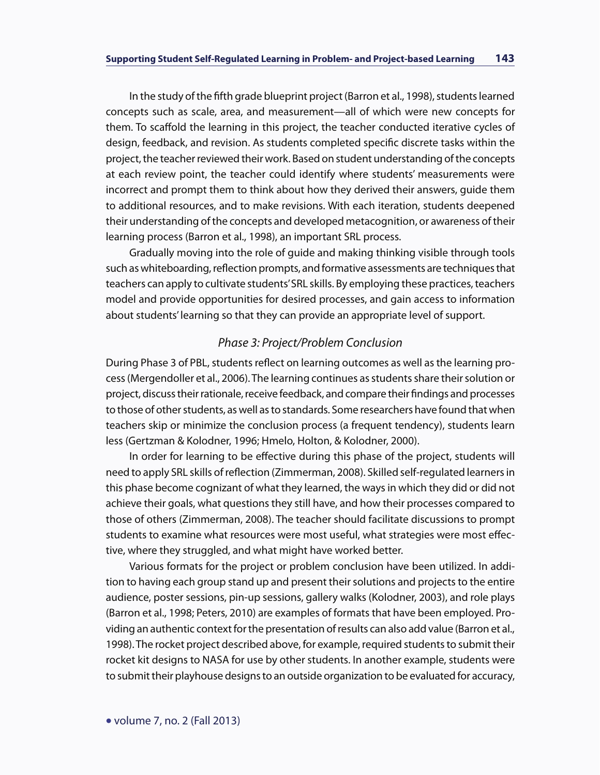In the study of the fifth grade blueprint project (Barron et al., 1998), students learned concepts such as scale, area, and measurement—all of which were new concepts for them. To scaffold the learning in this project, the teacher conducted iterative cycles of design, feedback, and revision. As students completed specific discrete tasks within the project, the teacher reviewed their work. Based on student understanding of the concepts at each review point, the teacher could identify where students' measurements were incorrect and prompt them to think about how they derived their answers, guide them to additional resources, and to make revisions. With each iteration, students deepened their understanding of the concepts and developed metacognition, or awareness of their learning process (Barron et al., 1998), an important SRL process.

Gradually moving into the role of guide and making thinking visible through tools such as whiteboarding, reflection prompts, and formative assessments are techniques that teachers can apply to cultivate students' SRL skills. By employing these practices, teachers model and provide opportunities for desired processes, and gain access to information about students' learning so that they can provide an appropriate level of support.

#### *Phase 3: Project/Problem Conclusion*

During Phase 3 of PBL, students reflect on learning outcomes as well as the learning process (Mergendoller et al., 2006). The learning continues as students share their solution or project, discuss their rationale, receive feedback, and compare their findings and processes to those of other students, as well as to standards. Some researchers have found that when teachers skip or minimize the conclusion process (a frequent tendency), students learn less (Gertzman & Kolodner, 1996; Hmelo, Holton, & Kolodner, 2000).

In order for learning to be effective during this phase of the project, students will need to apply SRL skills of reflection (Zimmerman, 2008). Skilled self-regulated learners in this phase become cognizant of what they learned, the ways in which they did or did not achieve their goals, what questions they still have, and how their processes compared to those of others (Zimmerman, 2008). The teacher should facilitate discussions to prompt students to examine what resources were most useful, what strategies were most effective, where they struggled, and what might have worked better.

Various formats for the project or problem conclusion have been utilized. In addition to having each group stand up and present their solutions and projects to the entire audience, poster sessions, pin-up sessions, gallery walks (Kolodner, 2003), and role plays (Barron et al., 1998; Peters, 2010) are examples of formats that have been employed. Providing an authentic context for the presentation of results can also add value (Barron et al., 1998). The rocket project described above, for example, required students to submit their rocket kit designs to NASA for use by other students. In another example, students were to submit their playhouse designs to an outside organization to be evaluated for accuracy,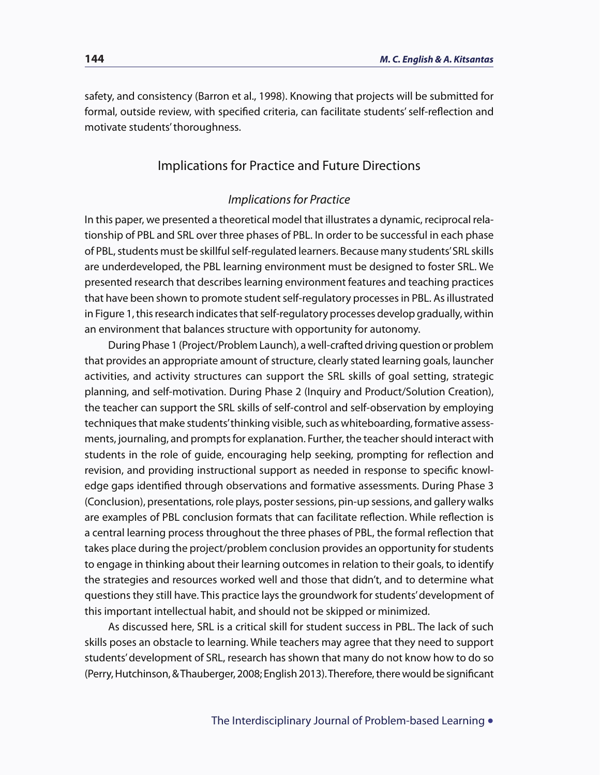safety, and consistency (Barron et al., 1998). Knowing that projects will be submitted for formal, outside review, with specified criteria, can facilitate students' self-reflection and motivate students' thoroughness.

#### Implications for Practice and Future Directions

#### *Implications for Practice*

In this paper, we presented a theoretical model that illustrates a dynamic, reciprocal relationship of PBL and SRL over three phases of PBL. In order to be successful in each phase of PBL, students must be skillful self-regulated learners. Because many students' SRL skills are underdeveloped, the PBL learning environment must be designed to foster SRL. We presented research that describes learning environment features and teaching practices that have been shown to promote student self-regulatory processes in PBL. As illustrated in Figure 1, this research indicates that self-regulatory processes develop gradually, within an environment that balances structure with opportunity for autonomy.

During Phase 1 (Project/Problem Launch), a well-crafted driving question or problem that provides an appropriate amount of structure, clearly stated learning goals, launcher activities, and activity structures can support the SRL skills of goal setting, strategic planning, and self-motivation. During Phase 2 (Inquiry and Product/Solution Creation), the teacher can support the SRL skills of self-control and self-observation by employing techniques that make students' thinking visible, such as whiteboarding, formative assessments, journaling, and prompts for explanation. Further, the teacher should interact with students in the role of guide, encouraging help seeking, prompting for reflection and revision, and providing instructional support as needed in response to specific knowledge gaps identified through observations and formative assessments. During Phase 3 (Conclusion), presentations, role plays, poster sessions, pin-up sessions, and gallery walks are examples of PBL conclusion formats that can facilitate reflection. While reflection is a central learning process throughout the three phases of PBL, the formal reflection that takes place during the project/problem conclusion provides an opportunity for students to engage in thinking about their learning outcomes in relation to their goals, to identify the strategies and resources worked well and those that didn't, and to determine what questions they still have. This practice lays the groundwork for students' development of this important intellectual habit, and should not be skipped or minimized.

As discussed here, SRL is a critical skill for student success in PBL. The lack of such skills poses an obstacle to learning. While teachers may agree that they need to support students' development of SRL, research has shown that many do not know how to do so (Perry, Hutchinson, & Thauberger, 2008; English 2013). Therefore, there would be significant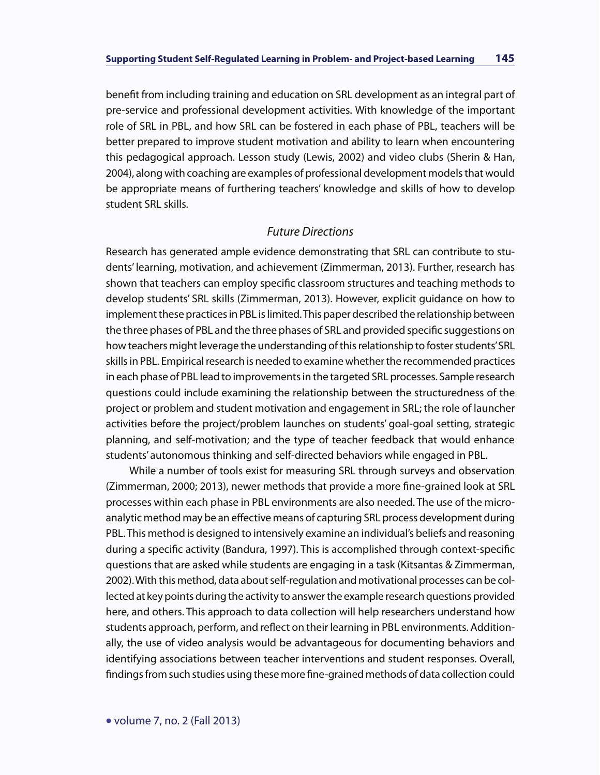benefit from including training and education on SRL development as an integral part of pre-service and professional development activities. With knowledge of the important role of SRL in PBL, and how SRL can be fostered in each phase of PBL, teachers will be better prepared to improve student motivation and ability to learn when encountering this pedagogical approach. Lesson study (Lewis, 2002) and video clubs (Sherin & Han, 2004), along with coaching are examples of professional development models that would be appropriate means of furthering teachers' knowledge and skills of how to develop student SRL skills.

#### *Future Directions*

Research has generated ample evidence demonstrating that SRL can contribute to students' learning, motivation, and achievement (Zimmerman, 2013). Further, research has shown that teachers can employ specific classroom structures and teaching methods to develop students' SRL skills (Zimmerman, 2013). However, explicit guidance on how to implement these practices in PBL is limited. This paper described the relationship between the three phases of PBL and the three phases of SRL and provided specific suggestions on how teachers might leverage the understanding of this relationship to foster students' SRL skills in PBL. Empirical research is needed to examine whether the recommended practices in each phase of PBL lead to improvements in the targeted SRL processes. Sample research questions could include examining the relationship between the structuredness of the project or problem and student motivation and engagement in SRL; the role of launcher activities before the project/problem launches on students' goal-goal setting, strategic planning, and self-motivation; and the type of teacher feedback that would enhance students' autonomous thinking and self-directed behaviors while engaged in PBL.

While a number of tools exist for measuring SRL through surveys and observation (Zimmerman, 2000; 2013), newer methods that provide a more fine-grained look at SRL processes within each phase in PBL environments are also needed. The use of the microanalytic method may be an effective means of capturing SRL process development during PBL. This method is designed to intensively examine an individual's beliefs and reasoning during a specific activity (Bandura, 1997). This is accomplished through context-specific questions that are asked while students are engaging in a task (Kitsantas & Zimmerman, 2002). With this method, data about self-regulation and motivational processes can be collected at key points during the activity to answer the example research questions provided here, and others. This approach to data collection will help researchers understand how students approach, perform, and reflect on their learning in PBL environments. Additionally, the use of video analysis would be advantageous for documenting behaviors and identifying associations between teacher interventions and student responses. Overall, findings from such studies using these more fine-grained methods of data collection could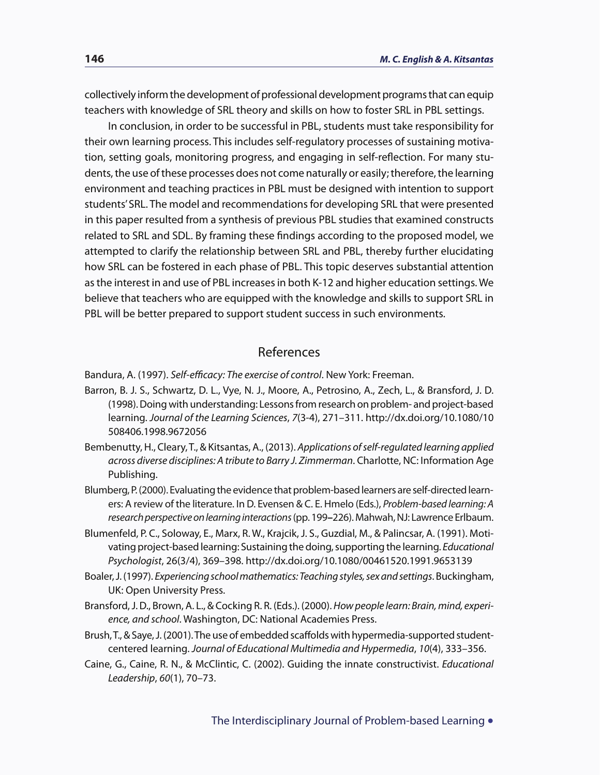collectively inform the development of professional development programs that can equip teachers with knowledge of SRL theory and skills on how to foster SRL in PBL settings.

In conclusion, in order to be successful in PBL, students must take responsibility for their own learning process. This includes self-regulatory processes of sustaining motivation, setting goals, monitoring progress, and engaging in self-reflection. For many students, the use of these processes does not come naturally or easily; therefore, the learning environment and teaching practices in PBL must be designed with intention to support students' SRL. The model and recommendations for developing SRL that were presented in this paper resulted from a synthesis of previous PBL studies that examined constructs related to SRL and SDL. By framing these findings according to the proposed model, we attempted to clarify the relationship between SRL and PBL, thereby further elucidating how SRL can be fostered in each phase of PBL. This topic deserves substantial attention as the interest in and use of PBL increases in both K-12 and higher education settings. We believe that teachers who are equipped with the knowledge and skills to support SRL in PBL will be better prepared to support student success in such environments.

#### References

Bandura, A. (1997). *Self-efficacy: The exercise of control*. New York: Freeman.

- Barron, B. J. S., Schwartz, D. L., Vye, N. J., Moore, A., Petrosino, A., Zech, L., & Bransford, J. D. (1998). Doing with understanding: Lessons from research on problem- and project-based learning. *Journal of the Learning Sciences*, *7*(3-4), 271–311. http://dx.doi.org/10.1080/10 508406.1998.9672056
- Bembenutty, H., Cleary, T., & Kitsantas, A., (2013). *Applications of self-regulated learning applied across diverse disciplines: A tribute to Barry J. Zimmerman*. Charlotte, NC: Information Age Publishing.
- Blumberg, P. (2000). Evaluating the evidence that problem-based learners are self-directed learners: A review of the literature. In D. Evensen & C. E. Hmelo (Eds.), *Problem-based learning: A research perspective on learning interactions* (pp. 199**–**226). Mahwah, NJ: Lawrence Erlbaum.
- Blumenfeld, P. C., Soloway, E., Marx, R. W., Krajcik, J. S., Guzdial, M., & Palincsar, A. (1991). Motivating project-based learning: Sustaining the doing, supporting the learning. *Educational Psychologist*, 26(3/4), 369–398. http://dx.doi.org/10.1080/00461520.1991.9653139
- Boaler, J. (1997). *Experiencing school mathematics: Teaching styles, sex and settings*. Buckingham, UK: Open University Press.
- Bransford, J. D., Brown, A. L., & Cocking R. R. (Eds.). (2000). *How people learn: Brain, mind, experience, and school*. Washington, DC: National Academies Press.
- Brush, T., & Saye, J. (2001). The use of embedded scaffolds with hypermedia-supported studentcentered learning. *Journal of Educational Multimedia and Hypermedia*, *10*(4), 333–356.
- Caine, G., Caine, R. N., & McClintic, C. (2002). Guiding the innate constructivist. *Educational Leadership*, *60*(1), 70–73.

The Interdisciplinary Journal of Problem-based Learning •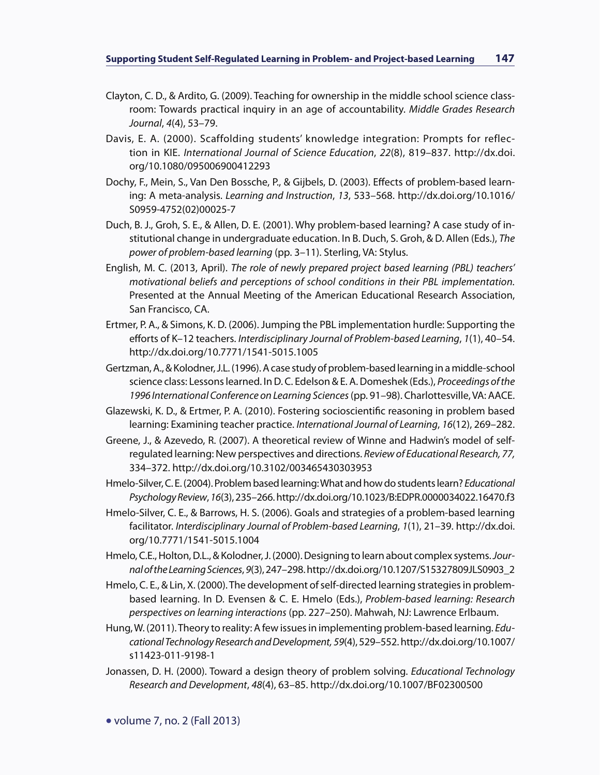- Clayton, C. D., & Ardito, G. (2009). Teaching for ownership in the middle school science classroom: Towards practical inquiry in an age of accountability. *Middle Grades Research Journal*, *4*(4), 53–79.
- Davis, E. A. (2000). Scaffolding students' knowledge integration: Prompts for reflection in KIE. *International Journal of Science Education*, *22*(8), 819–837. http://dx.doi. org/10.1080/095006900412293
- Dochy, F., Mein, S., Van Den Bossche, P., & Gijbels, D. (2003). Effects of problem-based learning: A meta-analysis. *Learning and Instruction*, *13*, 533–568. http://dx.doi.org/10.1016/ S0959-4752(02)00025-7
- Duch, B. J., Groh, S. E., & Allen, D. E. (2001). Why problem-based learning? A case study of institutional change in undergraduate education. In B. Duch, S. Groh, & D. Allen (Eds.), *The power of problem-based learning* (pp. 3–11). Sterling, VA: Stylus.
- English, M. C. (2013, April). *The role of newly prepared project based learning (PBL) teachers' motivational beliefs and perceptions of school conditions in their PBL implementation.* Presented at the Annual Meeting of the American Educational Research Association, San Francisco, CA.
- Ertmer, P. A., & Simons, K. D. (2006). Jumping the PBL implementation hurdle: Supporting the efforts of K–12 teachers. *Interdisciplinary Journal of Problem-based Learning*, *1*(1), 40–54. http://dx.doi.org/10.7771/1541-5015.1005
- Gertzman, A., & Kolodner, J.L. (1996). A case study of problem-based learning in a middle-school science class: Lessons learned. In D. C. Edelson & E. A. Domeshek (Eds.), *Proceedings of the 1996 International Conference on Learning Sciences* (pp. 91–98). Charlottesville, VA: AACE.
- Glazewski, K. D., & Ertmer, P. A. (2010). Fostering socioscientific reasoning in problem based learning: Examining teacher practice. *International Journal of Learning*, *16*(12), 269–282.
- Greene, J., & Azevedo, R. (2007). A theoretical review of Winne and Hadwin's model of selfregulated learning: New perspectives and directions. *Review of Educational Research, 77,*  334–372. http://dx.doi.org/10.3102/003465430303953
- Hmelo-Silver, C. E. (2004). Problem based learning: What and how do students learn? *Educational Psychology Review*, *16*(3), 235–266. http://dx.doi.org/10.1023/B:EDPR.0000034022.16470.f3
- Hmelo-Silver, C. E., & Barrows, H. S. (2006). Goals and strategies of a problem-based learning facilitator. *Interdisciplinary Journal of Problem-based Learning*, *1*(1), 21–39. http://dx.doi. org/10.7771/1541-5015.1004
- Hmelo, C.E., Holton, D.L., & Kolodner, J. (2000). Designing to learn about complex systems. *Journal of the Learning Sciences*, *9*(3), 247–298. http://dx.doi.org/10.1207/S15327809JLS0903\_2
- Hmelo, C. E., & Lin, X. (2000). The development of self-directed learning strategies in problembased learning. In D. Evensen & C. E. Hmelo (Eds.), *Problem-based learning: Research perspectives on learning interactions* (pp. 227–250). Mahwah, NJ: Lawrence Erlbaum.
- Hung, W. (2011). Theory to reality: A few issues in implementing problem-based learning. *Educational Technology Research and Development, 59*(4), 529–552. http://dx.doi.org/10.1007/ s11423-011-9198-1
- Jonassen, D. H. (2000). Toward a design theory of problem solving. *Educational Technology Research and Development*, *48*(4), 63–85. http://dx.doi.org/10.1007/BF02300500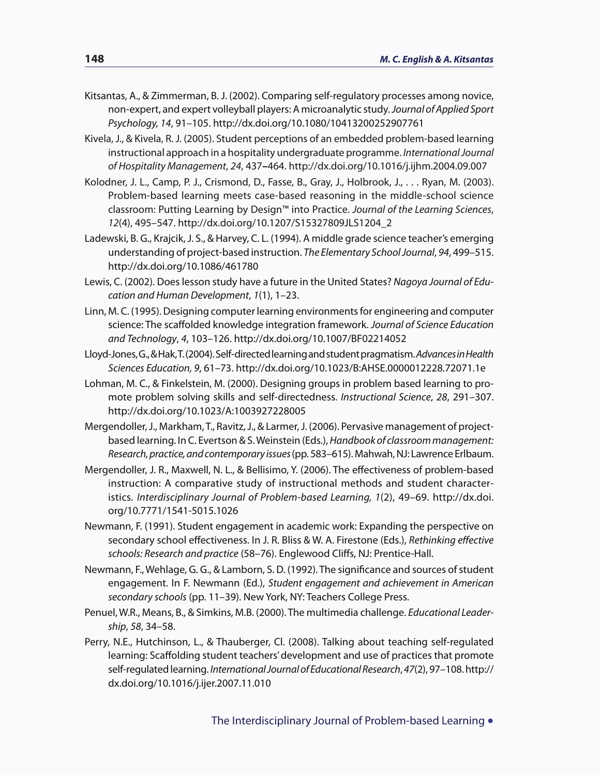- Kitsantas, A., & Zimmerman, B. J. (2002). Comparing self-regulatory processes among novice, non-expert, and expert volleyball players: A microanalytic study. *Journal of Applied Sport Psychology, 14*, 91–105. http://dx.doi.org/10.1080/10413200252907761
- Kivela, J., & Kivela, R. J. (2005). Student perceptions of an embedded problem-based learning instructional approach in a hospitality undergraduate programme. *International Journal of Hospitality Management*, *24*, 437**–**464. http://dx.doi.org/10.1016/j.ijhm.2004.09.007
- Kolodner, J. L., Camp, P. J., Crismond, D., Fasse, B., Gray, J., Holbrook, J., . . . Ryan, M. (2003). Problem-based learning meets case-based reasoning in the middle-school science classroom: Putting Learning by Design™ into Practice. *Journal of the Learning Sciences*, *12*(4), 495–547. http://dx.doi.org/10.1207/S15327809JLS1204\_2
- Ladewski, B. G., Krajcik, J. S., & Harvey, C. L. (1994). A middle grade science teacher's emerging understanding of project-based instruction. *The Elementary School Journal*, *94*, 499–515. http://dx.doi.org/10.1086/461780
- Lewis, C. (2002). Does lesson study have a future in the United States? *Nagoya Journal of Education and Human Development*, *1*(1), 1–23.
- Linn, M. C. (1995). Designing computer learning environments for engineering and computer science: The scaffolded knowledge integration framework. *Journal of Science Education and Technology*, *4*, 103–126. http://dx.doi.org/10.1007/BF02214052
- Lloyd-Jones, G., & Hak, T. (2004). Self-directed learning and student pragmatism. *Advances in Health Sciences Education, 9*, 61–73. http://dx.doi.org/10.1023/B:AHSE.0000012228.72071.1e
- Lohman, M. C., & Finkelstein, M. (2000). Designing groups in problem based learning to promote problem solving skills and self-directedness. *Instructional Science*, *28*, 291–307. http://dx.doi.org/10.1023/A:1003927228005
- Mergendoller, J., Markham, T., Ravitz, J., & Larmer, J. (2006). Pervasive management of projectbased learning. In C. Evertson & S. Weinstein (Eds.), *Handbook of classroom management: Research, practice, and contemporary issues* (pp. 583–615). Mahwah, NJ: Lawrence Erlbaum.
- Mergendoller, J. R., Maxwell, N. L., & Bellisimo, Y. (2006). The effectiveness of problem-based instruction: A comparative study of instructional methods and student characteristics. *Interdisciplinary Journal of Problem-based Learning, 1*(2), 49–69. http://dx.doi. org/10.7771/1541-5015.1026
- Newmann, F. (1991). Student engagement in academic work: Expanding the perspective on secondary school effectiveness. In J. R. Bliss & W. A. Firestone (Eds.), *Rethinking effective schools: Research and practice* (58–76). Englewood Cliffs, NJ: Prentice-Hall.
- Newmann, F., Wehlage, G. G., & Lamborn, S. D. (1992). The significance and sources of student engagement. In F. Newmann (Ed.), *Student engagement and achievement in American secondary schools* (pp. 11–39). New York, NY: Teachers College Press.
- Penuel, W.R., Means, B., & Simkins, M.B. (2000). The multimedia challenge. *Educational Leadership*, *58*, 34–58.
- Perry, N.E., Hutchinson, L., & Thauberger, Cl. (2008). Talking about teaching self-regulated learning: Scaffolding student teachers' development and use of practices that promote self-regulated learning. *International Journal of Educational Research*, *47*(2), 97–108. http:// dx.doi.org/10.1016/j.ijer.2007.11.010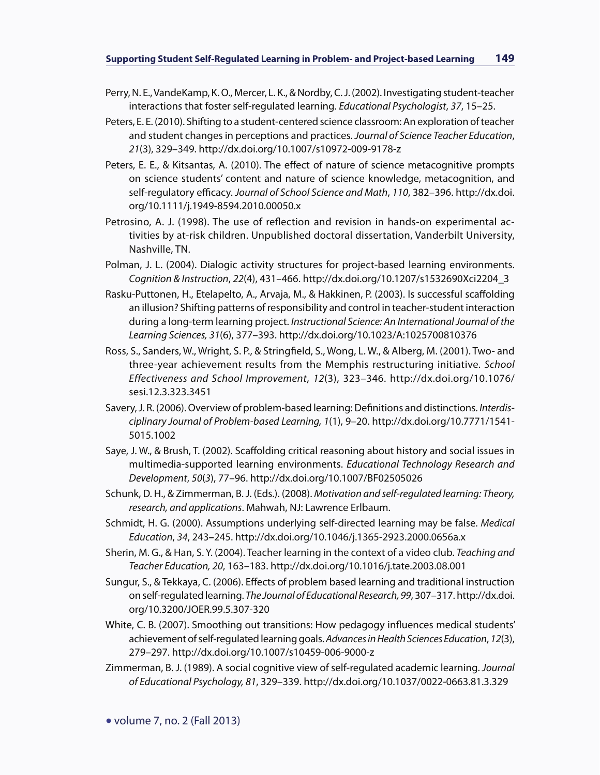- Perry, N. E., VandeKamp, K. O., Mercer, L. K., & Nordby, C. J. (2002). Investigating student-teacher interactions that foster self-regulated learning. *Educational Psychologist*, *37*, 15–25.
- Peters, E. E. (2010). Shifting to a student-centered science classroom: An exploration of teacher and student changes in perceptions and practices. *Journal of Science Teacher Education*, *21*(3), 329–349. http://dx.doi.org/10.1007/s10972-009-9178-z
- Peters, E. E., & Kitsantas, A. (2010). The effect of nature of science metacognitive prompts on science students' content and nature of science knowledge, metacognition, and self-regulatory efficacy. *Journal of School Science and Math*, *110*, 382–396. http://dx.doi. org/10.1111/j.1949-8594.2010.00050.x
- Petrosino, A. J. (1998). The use of reflection and revision in hands-on experimental activities by at-risk children. Unpublished doctoral dissertation, Vanderbilt University, Nashville, TN.
- Polman, J. L. (2004). Dialogic activity structures for project-based learning environments. *Cognition & Instruction*, *22*(4), 431–466. http://dx.doi.org/10.1207/s1532690Xci2204\_3
- Rasku-Puttonen, H., Etelapelto, A., Arvaja, M., & Hakkinen, P. (2003). Is successful scaffolding an illusion? Shifting patterns of responsibility and control in teacher-student interaction during a long-term learning project. *Instructional Science: An International Journal of the Learning Sciences, 31*(6), 377–393. http://dx.doi.org/10.1023/A:1025700810376
- Ross, S., Sanders, W., Wright, S. P., & Stringfield, S., Wong, L. W., & Alberg, M. (2001). Two- and three-year achievement results from the Memphis restructuring initiative. *School Effectiveness and School Improvement*, *12*(3), 323–346. http://dx.doi.org/10.1076/ sesi.12.3.323.3451
- Savery, J. R. (2006). Overview of problem-based learning: Definitions and distinctions. *Interdisciplinary Journal of Problem-based Learning, 1*(1), 9–20. http://dx.doi.org/10.7771/1541- 5015.1002
- Saye, J. W., & Brush, T. (2002). Scaffolding critical reasoning about history and social issues in multimedia-supported learning environments. *Educational Technology Research and Development*, *50*(*3*), 77–96. http://dx.doi.org/10.1007/BF02505026
- Schunk, D. H., & Zimmerman, B. J. (Eds.). (2008). *Motivation and self-regulated learning: Theory, research, and applications*. Mahwah, NJ: Lawrence Erlbaum.
- Schmidt, H. G. (2000). Assumptions underlying self-directed learning may be false. *Medical Education*, *34*, 243**–**245. http://dx.doi.org/10.1046/j.1365-2923.2000.0656a.x
- Sherin, M. G., & Han, S. Y. (2004). Teacher learning in the context of a video club. *Teaching and Teacher Education, 20*, 163–183. http://dx.doi.org/10.1016/j.tate.2003.08.001
- Sungur, S., & Tekkaya, C. (2006). Effects of problem based learning and traditional instruction on self-regulated learning. *The Journal of Educational Research, 99*, 307–317. http://dx.doi. org/10.3200/JOER.99.5.307-320
- White, C. B. (2007). Smoothing out transitions: How pedagogy influences medical students' achievement of self-regulated learning goals. *Advances in Health Sciences Education*, *12*(3), 279–297. http://dx.doi.org/10.1007/s10459-006-9000-z
- Zimmerman, B. J. (1989). A social cognitive view of self-regulated academic learning. *Journal of Educational Psychology, 81*, 329–339. http://dx.doi.org/10.1037/0022-0663.81.3.329

• volume 7, no. 2 (Fall 2013)